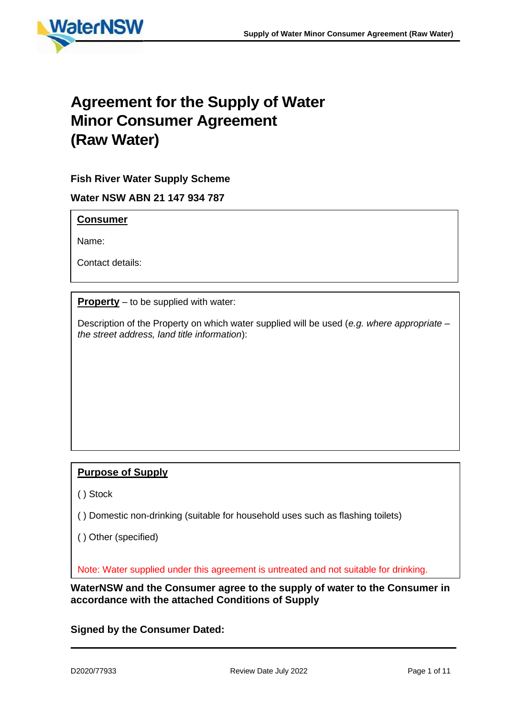

# **Agreement for the Supply of Water Minor Consumer Agreement (Raw Water)**

# **Fish River Water Supply Scheme**

**Water NSW ABN 21 147 934 787**

## **Consumer**

Name:

Contact details:

**Property** – to be supplied with water:

Description of the Property on which water supplied will be used (*e.g. where appropriate – the street address, land title information*):

# **Purpose of Supply**

( ) Stock

( ) Domestic non-drinking (suitable for household uses such as flashing toilets)

( ) Other (specified)

Note: Water supplied under this agreement is untreated and not suitable for drinking.

**WaterNSW and the Consumer agree to the supply of water to the Consumer in accordance with the attached Conditions of Supply**

**Signed by the Consumer Dated:**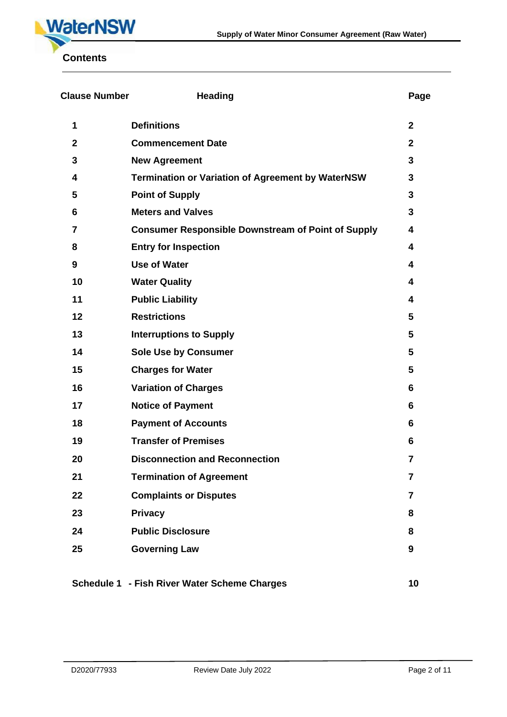

| <b>Clause Number</b> | <b>Heading</b>                                            | Page            |
|----------------------|-----------------------------------------------------------|-----------------|
| 1                    | <b>Definitions</b>                                        | $\mathbf{2}$    |
| $\mathbf{2}$         | <b>Commencement Date</b>                                  | $\mathbf{2}$    |
| 3                    | <b>New Agreement</b>                                      | 3               |
| 4                    | <b>Termination or Variation of Agreement by WaterNSW</b>  | 3               |
| 5                    | <b>Point of Supply</b>                                    | 3               |
| 6                    | <b>Meters and Valves</b>                                  | 3               |
| 7                    | <b>Consumer Responsible Downstream of Point of Supply</b> | 4               |
| 8                    | <b>Entry for Inspection</b>                               | 4               |
| 9                    | <b>Use of Water</b>                                       | 4               |
| 10                   | <b>Water Quality</b>                                      | 4               |
| 11                   | <b>Public Liability</b>                                   | 4               |
| 12                   | <b>Restrictions</b>                                       | 5               |
| 13                   | <b>Interruptions to Supply</b>                            | 5               |
| 14                   | <b>Sole Use by Consumer</b>                               | $5\phantom{.0}$ |
| 15                   | <b>Charges for Water</b>                                  | 5               |
| 16                   | <b>Variation of Charges</b>                               | 6               |
| 17                   | <b>Notice of Payment</b>                                  | 6               |
| 18                   | <b>Payment of Accounts</b>                                | 6               |
| 19                   | <b>Transfer of Premises</b>                               | 6               |
| 20                   | <b>Disconnection and Reconnection</b>                     | 7               |
| 21                   | <b>Termination of Agreement</b>                           | 7               |
| 22                   | <b>Complaints or Disputes</b>                             | $\overline{7}$  |
| 23                   | <b>Privacy</b>                                            | 8               |
| 24                   | <b>Public Disclosure</b>                                  | 8               |
| 25                   | <b>Governing Law</b>                                      | 9               |
|                      |                                                           |                 |
|                      | Schedule 1 - Fish River Water Scheme Charges              | 10              |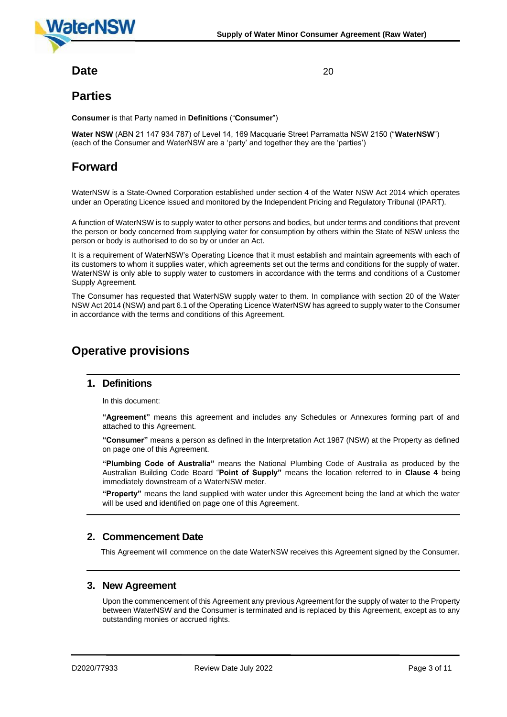

# **Date** 20

# **Parties**

**Consumer** is that Party named in **Definitions** ("**Consumer**")

**Water NSW** (ABN 21 147 934 787) of Level 14, 169 Macquarie Street Parramatta NSW 2150 ("**WaterNSW**") (each of the Consumer and WaterNSW are a 'party' and together they are the 'parties')

# **Forward**

WaterNSW is a State-Owned Corporation established under section 4 of the Water NSW Act 2014 which operates under an Operating Licence issued and monitored by the Independent Pricing and Regulatory Tribunal (IPART).

A function of WaterNSW is to supply water to other persons and bodies, but under terms and conditions that prevent the person or body concerned from supplying water for consumption by others within the State of NSW unless the person or body is authorised to do so by or under an Act.

It is a requirement of WaterNSW's Operating Licence that it must establish and maintain agreements with each of its customers to whom it supplies water, which agreements set out the terms and conditions for the supply of water. WaterNSW is only able to supply water to customers in accordance with the terms and conditions of a Customer Supply Agreement.

The Consumer has requested that WaterNSW supply water to them. In compliance with section 20 of the Water NSW Act 2014 (NSW) and part 6.1 of the Operating Licence WaterNSW has agreed to supply water to the Consumer in accordance with the terms and conditions of this Agreement.

# **Operative provisions**

#### **1. Definitions**

In this document:

**"Agreement"** means this agreement and includes any Schedules or Annexures forming part of and attached to this Agreement.

**"Consumer"** means a person as defined in the Interpretation Act 1987 (NSW) at the Property as defined on page one of this Agreement.

**"Plumbing Code of Australia"** means the National Plumbing Code of Australia as produced by the Australian Building Code Board "**Point of Supply"** means the location referred to in **Clause 4** being immediately downstream of a WaterNSW meter.

**"Property"** means the land supplied with water under this Agreement being the land at which the water will be used and identified on page one of this Agreement.

## **2. Commencement Date**

This Agreement will commence on the date WaterNSW receives this Agreement signed by the Consumer.

#### **3. New Agreement**

Upon the commencement of this Agreement any previous Agreement for the supply of water to the Property between WaterNSW and the Consumer is terminated and is replaced by this Agreement, except as to any outstanding monies or accrued rights.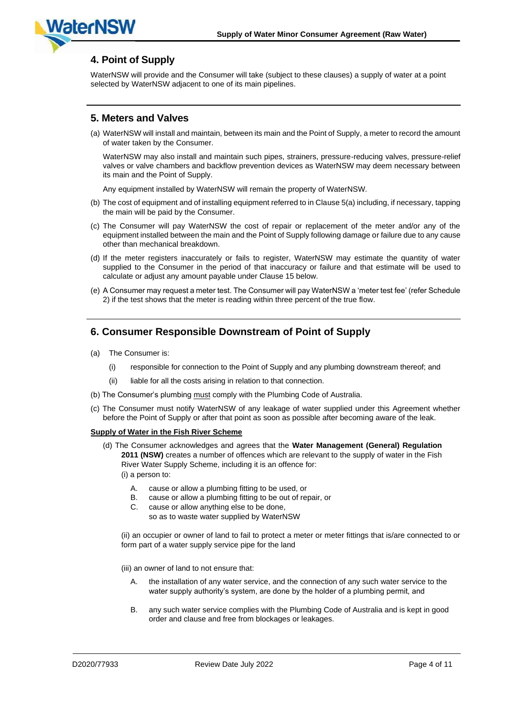

# **4. Point of Supply**

WaterNSW will provide and the Consumer will take (subject to these clauses) a supply of water at a point selected by WaterNSW adjacent to one of its main pipelines.

# **5. Meters and Valves**

(a) WaterNSW will install and maintain, between its main and the Point of Supply, a meter to record the amount of water taken by the Consumer.

WaterNSW may also install and maintain such pipes, strainers, pressure-reducing valves, pressure-relief valves or valve chambers and backflow prevention devices as WaterNSW may deem necessary between its main and the Point of Supply.

Any equipment installed by WaterNSW will remain the property of WaterNSW.

- (b) The cost of equipment and of installing equipment referred to in Clause 5(a) including, if necessary, tapping the main will be paid by the Consumer.
- (c) The Consumer will pay WaterNSW the cost of repair or replacement of the meter and/or any of the equipment installed between the main and the Point of Supply following damage or failure due to any cause other than mechanical breakdown.
- (d) If the meter registers inaccurately or fails to register, WaterNSW may estimate the quantity of water supplied to the Consumer in the period of that inaccuracy or failure and that estimate will be used to calculate or adjust any amount payable under Clause 15 below.
- (e) A Consumer may request a meter test. The Consumer will pay WaterNSW a 'meter test fee' (refer Schedule 2) if the test shows that the meter is reading within three percent of the true flow.

# **6. Consumer Responsible Downstream of Point of Supply**

- (a) The Consumer is:
	- (i) responsible for connection to the Point of Supply and any plumbing downstream thereof; and
	- (ii) liable for all the costs arising in relation to that connection.
- (b) The Consumer's plumbing must comply with the Plumbing Code of Australia.
- (c) The Consumer must notify WaterNSW of any leakage of water supplied under this Agreement whether before the Point of Supply or after that point as soon as possible after becoming aware of the leak.

#### **Supply of Water in the Fish River Scheme**

- (d) The Consumer acknowledges and agrees that the **Water Management (General) Regulation 2011 (NSW)** creates a number of offences which are relevant to the supply of water in the Fish River Water Supply Scheme, including it is an offence for: (i) a person to:
	- A. cause or allow a plumbing fitting to be used, or
	- B. cause or allow a plumbing fitting to be out of repair, or
	- C. cause or allow anything else to be done,
		- so as to waste water supplied by WaterNSW

(ii) an occupier or owner of land to fail to protect a meter or meter fittings that is/are connected to or form part of a water supply service pipe for the land

(iii) an owner of land to not ensure that:

- A. the installation of any water service, and the connection of any such water service to the water supply authority's system, are done by the holder of a plumbing permit, and
- B. any such water service complies with the Plumbing Code of Australia and is kept in good order and clause and free from blockages or leakages.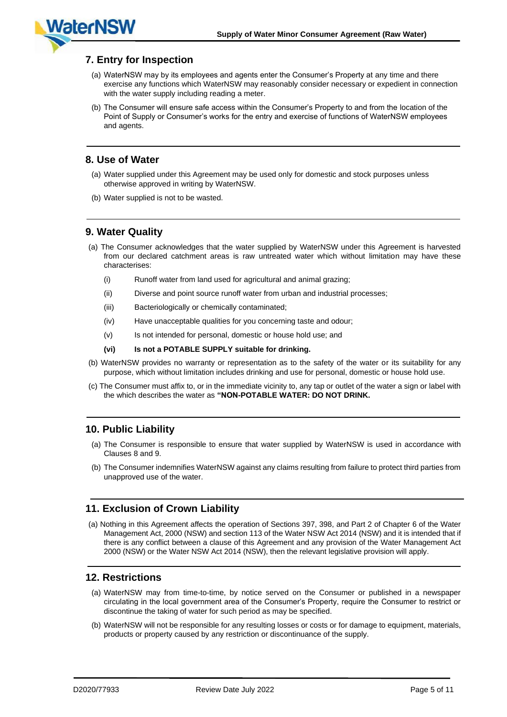# **7. Entry for Inspection**

**WaterNSV** 

- (a) WaterNSW may by its employees and agents enter the Consumer's Property at any time and there exercise any functions which WaterNSW may reasonably consider necessary or expedient in connection with the water supply including reading a meter.
- (b) The Consumer will ensure safe access within the Consumer's Property to and from the location of the Point of Supply or Consumer's works for the entry and exercise of functions of WaterNSW employees and agents.

#### **8. Use of Water**

- (a) Water supplied under this Agreement may be used only for domestic and stock purposes unless otherwise approved in writing by WaterNSW.
- (b) Water supplied is not to be wasted.

## **9. Water Quality**

- (a) The Consumer acknowledges that the water supplied by WaterNSW under this Agreement is harvested from our declared catchment areas is raw untreated water which without limitation may have these characterises:
	- (i) Runoff water from land used for agricultural and animal grazing;
	- (ii) Diverse and point source runoff water from urban and industrial processes;
	- (iii) Bacteriologically or chemically contaminated;
	- (iv) Have unacceptable qualities for you concerning taste and odour;
	- (v) Is not intended for personal, domestic or house hold use; and
	- **(vi) Is not a POTABLE SUPPLY suitable for drinking.**
- (b) WaterNSW provides no warranty or representation as to the safety of the water or its suitability for any purpose, which without limitation includes drinking and use for personal, domestic or house hold use.
- (c) The Consumer must affix to, or in the immediate vicinity to, any tap or outlet of the water a sign or label with the which describes the water as **"NON-POTABLE WATER: DO NOT DRINK.**

## **10. Public Liability**

- (a) The Consumer is responsible to ensure that water supplied by WaterNSW is used in accordance with Clauses 8 and 9.
- (b) The Consumer indemnifies WaterNSW against any claims resulting from failure to protect third parties from unapproved use of the water.

## **11. Exclusion of Crown Liability**

(a) Nothing in this Agreement affects the operation of Sections 397, 398, and Part 2 of Chapter 6 of the Water Management Act, 2000 (NSW) and section 113 of the Water NSW Act 2014 (NSW) and it is intended that if there is any conflict between a clause of this Agreement and any provision of the Water Management Act 2000 (NSW) or the Water NSW Act 2014 (NSW), then the relevant legislative provision will apply.

## **12. Restrictions**

- (a) WaterNSW may from time-to-time, by notice served on the Consumer or published in a newspaper circulating in the local government area of the Consumer's Property, require the Consumer to restrict or discontinue the taking of water for such period as may be specified.
- (b) WaterNSW will not be responsible for any resulting losses or costs or for damage to equipment, materials, products or property caused by any restriction or discontinuance of the supply.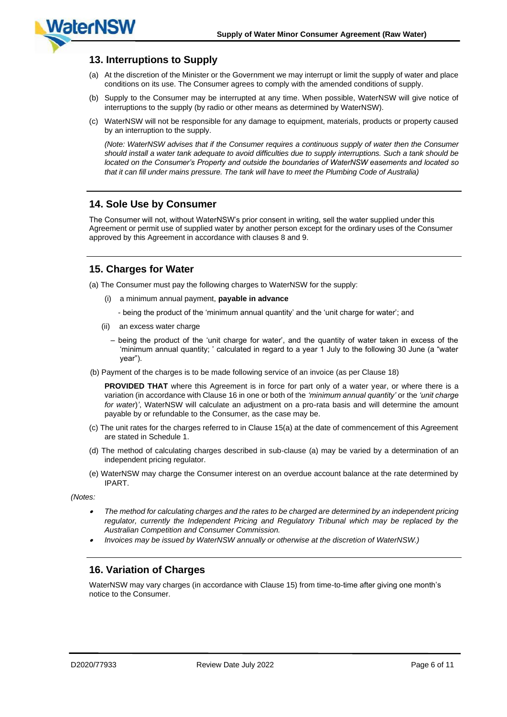# **13. Interruptions to Supply**

**WaterNSV** 

- (a) At the discretion of the Minister or the Government we may interrupt or limit the supply of water and place conditions on its use. The Consumer agrees to comply with the amended conditions of supply.
- (b) Supply to the Consumer may be interrupted at any time. When possible, WaterNSW will give notice of interruptions to the supply (by radio or other means as determined by WaterNSW).
- (c) WaterNSW will not be responsible for any damage to equipment, materials, products or property caused by an interruption to the supply.

*(Note: WaterNSW advises that if the Consumer requires a continuous supply of water then the Consumer should install a water tank adequate to avoid difficulties due to supply interruptions. Such a tank should be located on the Consumer's Property and outside the boundaries of WaterNSW easements and located so that it can fill under mains pressure. The tank will have to meet the Plumbing Code of Australia)*

## **14. Sole Use by Consumer**

The Consumer will not, without WaterNSW's prior consent in writing, sell the water supplied under this Agreement or permit use of supplied water by another person except for the ordinary uses of the Consumer approved by this Agreement in accordance with clauses 8 and 9.

## **15. Charges for Water**

(a) The Consumer must pay the following charges to WaterNSW for the supply:

- (i) a minimum annual payment, **payable in advance**
	- being the product of the 'minimum annual quantity' and the 'unit charge for water'; and
- (ii) an excess water charge
	- being the product of the 'unit charge for water', and the quantity of water taken in excess of the 'minimum annual quantity; ' calculated in regard to a year 1 July to the following 30 June (a "water year").
- (b) Payment of the charges is to be made following service of an invoice (as per Clause 18)

**PROVIDED THAT** where this Agreement is in force for part only of a water year, or where there is a variation (in accordance with Clause 16 in one or both of the *'minimum annual quantity'* or the *'unit charge for water*)*'*, WaterNSW will calculate an adjustment on a pro-rata basis and will determine the amount payable by or refundable to the Consumer, as the case may be.

- (c) The unit rates for the charges referred to in Clause 15(a) at the date of commencement of this Agreement are stated in Schedule 1.
- (d) The method of calculating charges described in sub-clause (a) may be varied by a determination of an independent pricing regulator.
- (e) WaterNSW may charge the Consumer interest on an overdue account balance at the rate determined by IPART.

*(Notes:*

- • *The method for calculating charges and the rates to be charged are determined by an independent pricing*  regulator, currently the Independent Pricing and Regulatory Tribunal which may be replaced by the *Australian Competition and Consumer Commission.*
- •*Invoices may be issued by WaterNSW annually or otherwise at the discretion of WaterNSW.)*

## **16. Variation of Charges**

WaterNSW may vary charges (in accordance with Clause 15) from time-to-time after giving one month's notice to the Consumer.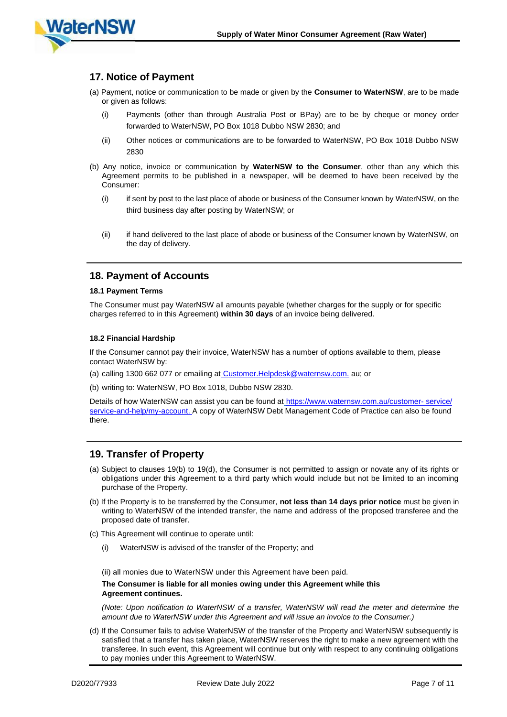

## **17. Notice of Payment**

- (a) Payment, notice or communication to be made or given by the **Consumer to WaterNSW**, are to be made or given as follows:
	- (i) Payments (other than through Australia Post or BPay) are to be by cheque or money order forwarded to WaterNSW, PO Box 1018 Dubbo NSW 2830; and
	- (ii) Other notices or communications are to be forwarded to WaterNSW, PO Box 1018 Dubbo NSW 2830
- (b) Any notice, invoice or communication by **WaterNSW to the Consumer**, other than any which this Agreement permits to be published in a newspaper, will be deemed to have been received by the Consumer:
	- (i) if sent by post to the last place of abode or business of the Consumer known by WaterNSW, on the third business day after posting by WaterNSW; or
	- (ii) if hand delivered to the last place of abode or business of the Consumer known by WaterNSW, on the day of delivery.

#### **18. Payment of Accounts**

#### **18.1 Payment Terms**

The Consumer must pay WaterNSW all amounts payable (whether charges for the supply or for specific charges referred to in this Agreement) **within 30 days** of an invoice being delivered.

#### **18.2 Financial Hardship**

If the Consumer cannot pay their invoice, WaterNSW has a number of options available to them, please contact WaterNSW by:

(a) calling 1300 662 077 or emailing at [Customer.Helpdesk@waternsw.com.](mailto:Customer.Helpdesk@waternsw.com) au; or

(b) writing to: WaterNSW, PO Box 1018, Dubbo NSW 2830.

Details of how WaterNSW can assist you can be found at https://[www.waternsw.com.au/customer-](https://www.waternsw.com.au/customer-service/service-and-help/my-account) service/ [service-and-help/my-account.](https://www.waternsw.com.au/customer-service/service-and-help/my-account) A copy of WaterNSW Debt Management Code of Practice can also be found there.

#### **19. Transfer of Property**

- (a) Subject to clauses 19(b) to 19(d), the Consumer is not permitted to assign or novate any of its rights or obligations under this Agreement to a third party which would include but not be limited to an incoming purchase of the Property.
- (b) If the Property is to be transferred by the Consumer, **not less than 14 days prior notice** must be given in writing to WaterNSW of the intended transfer, the name and address of the proposed transferee and the proposed date of transfer.
- (c) This Agreement will continue to operate until:
	- (i) WaterNSW is advised of the transfer of the Property; and

(ii) all monies due to WaterNSW under this Agreement have been paid.

#### **The Consumer is liable for all monies owing under this Agreement while this Agreement continues.**

*(Note: Upon notification to WaterNSW of a transfer, WaterNSW will read the meter and determine the amount due to WaterNSW under this Agreement and will issue an invoice to the Consumer.)*

(d) If the Consumer fails to advise WaterNSW of the transfer of the Property and WaterNSW subsequently is satisfied that a transfer has taken place, WaterNSW reserves the right to make a new agreement with the transferee. In such event, this Agreement will continue but only with respect to any continuing obligations to pay monies under this Agreement to WaterNSW.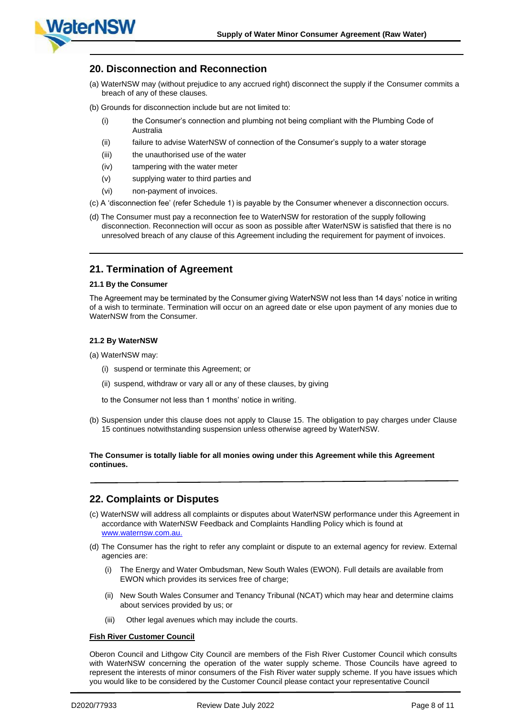

#### **20. Disconnection and Reconnection**

- (a) WaterNSW may (without prejudice to any accrued right) disconnect the supply if the Consumer commits a breach of any of these clauses.
- (b) Grounds for disconnection include but are not limited to:
	- (i) the Consumer's connection and plumbing not being compliant with the Plumbing Code of Australia
	- (ii) failure to advise WaterNSW of connection of the Consumer's supply to a water storage
	- (iii) the unauthorised use of the water
	- (iv) tampering with the water meter
	- (v) supplying water to third parties and
	- (vi) non-payment of invoices.
- (c) A 'disconnection fee' (refer Schedule 1) is payable by the Consumer whenever a disconnection occurs.
- (d) The Consumer must pay a reconnection fee to WaterNSW for restoration of the supply following disconnection. Reconnection will occur as soon as possible after WaterNSW is satisfied that there is no unresolved breach of any clause of this Agreement including the requirement for payment of invoices.

#### **21. Termination of Agreement**

#### **21.1 By the Consumer**

The Agreement may be terminated by the Consumer giving WaterNSW not less than 14 days' notice in writing of a wish to terminate. Termination will occur on an agreed date or else upon payment of any monies due to WaterNSW from the Consumer.

#### **21.2 By WaterNSW**

(a) WaterNSW may:

- (i) suspend or terminate this Agreement; or
- (ii) suspend, withdraw or vary all or any of these clauses, by giving
- to the Consumer not less than 1 months' notice in writing.
- (b) Suspension under this clause does not apply to Clause 15. The obligation to pay charges under Clause 15 continues notwithstanding suspension unless otherwise agreed by WaterNSW.

#### **The Consumer is totally liable for all monies owing under this Agreement while this Agreement continues.**

#### **22. Complaints or Disputes**

- (c) WaterNSW will address all complaints or disputes about WaterNSW performance under this Agreement in accordance with WaterNSW Feedback and Complaints Handling Policy which is found at [www.waternsw.com.au.](http://www.waternsw.com.au/)
- (d) The Consumer has the right to refer any complaint or dispute to an external agency for review. External agencies are:
	- (i) The Energy and Water Ombudsman, New South Wales (EWON). Full details are available from EWON which provides its services free of charge;
	- (ii) New South Wales Consumer and Tenancy Tribunal (NCAT) which may hear and determine claims about services provided by us; or
	- (iii) Other legal avenues which may include the courts.

#### **Fish River Customer Council**

Oberon Council and Lithgow City Council are members of the Fish River Customer Council which consults with WaterNSW concerning the operation of the water supply scheme. Those Councils have agreed to represent the interests of minor consumers of the Fish River water supply scheme. If you have issues which you would like to be considered by the Customer Council please contact your representative Council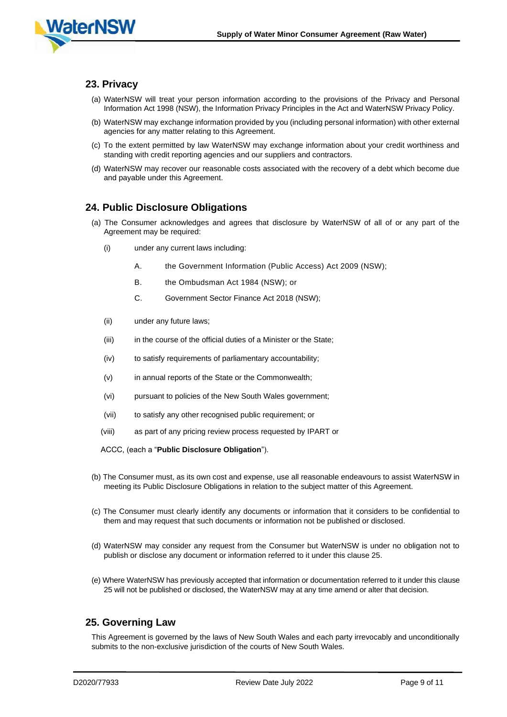

#### **23. Privacy**

- (a) WaterNSW will treat your person information according to the provisions of the Privacy and Personal Information Act 1998 (NSW), the Information Privacy Principles in the Act and WaterNSW Privacy Policy.
- (b) WaterNSW may exchange information provided by you (including personal information) with other external agencies for any matter relating to this Agreement.
- (c) To the extent permitted by law WaterNSW may exchange information about your credit worthiness and standing with credit reporting agencies and our suppliers and contractors.
- (d) WaterNSW may recover our reasonable costs associated with the recovery of a debt which become due and payable under this Agreement.

#### **24. Public Disclosure Obligations**

- (a) The Consumer acknowledges and agrees that disclosure by WaterNSW of all of or any part of the Agreement may be required:
	- (i) under any current laws including:
		- A. the Government Information (Public Access) Act 2009 (NSW);
		- B. the Ombudsman Act 1984 (NSW); or
		- C. Government Sector Finance Act 2018 (NSW);
	- (ii) under any future laws;
	- (iii) in the course of the official duties of a Minister or the State;
	- (iv) to satisfy requirements of parliamentary accountability;
	- (v) in annual reports of the State or the Commonwealth;
	- (vi) pursuant to policies of the New South Wales government;
	- (vii) to satisfy any other recognised public requirement; or
	- (viii) as part of any pricing review process requested by IPART or

ACCC, (each a "**Public Disclosure Obligation**").

- (b) The Consumer must, as its own cost and expense, use all reasonable endeavours to assist WaterNSW in meeting its Public Disclosure Obligations in relation to the subject matter of this Agreement.
- (c) The Consumer must clearly identify any documents or information that it considers to be confidential to them and may request that such documents or information not be published or disclosed.
- (d) WaterNSW may consider any request from the Consumer but WaterNSW is under no obligation not to publish or disclose any document or information referred to it under this clause 25.
- (e) Where WaterNSW has previously accepted that information or documentation referred to it under this clause 25 will not be published or disclosed, the WaterNSW may at any time amend or alter that decision.

#### **25. Governing Law**

This Agreement is governed by the laws of New South Wales and each party irrevocably and unconditionally submits to the non-exclusive jurisdiction of the courts of New South Wales.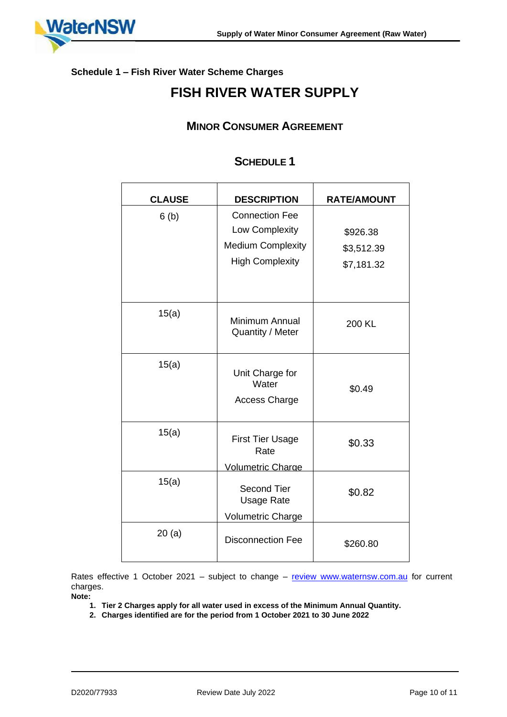

## **Schedule 1 – Fish River Water Scheme Charges**

# **FISH RIVER WATER SUPPLY**

# **MINOR CONSUMER AGREEMENT**

# **SCHEDULE 1**

| <b>CLAUSE</b> | <b>DESCRIPTION</b>                                                                            | <b>RATE/AMOUNT</b>                   |
|---------------|-----------------------------------------------------------------------------------------------|--------------------------------------|
| 6(b)          | <b>Connection Fee</b><br>Low Complexity<br><b>Medium Complexity</b><br><b>High Complexity</b> | \$926.38<br>\$3,512.39<br>\$7,181.32 |
| 15(a)         | Minimum Annual<br>Quantity / Meter                                                            | 200 KL                               |
| 15(a)         | Unit Charge for<br>Water<br><b>Access Charge</b>                                              | \$0.49                               |
| 15(a)         | <b>First Tier Usage</b><br>Rate<br><b>Volumetric Charge</b>                                   | \$0.33                               |
| 15(a)         | <b>Second Tier</b><br><b>Usage Rate</b><br><b>Volumetric Charge</b>                           | \$0.82                               |
| 20(a)         | <b>Disconnection Fee</b>                                                                      | \$260.80                             |

Rates effective 1 October 2021 – subject to change – re[view](http://www.waternsw.com.au/) [www.waternsw.com.a](http://www.waternsw.com.au/)u for current charges.

**Note:**

- **1. Tier 2 Charges apply for all water used in excess of the Minimum Annual Quantity.**
- **2. Charges identified are for the period from 1 October 2021 to 30 June 2022**